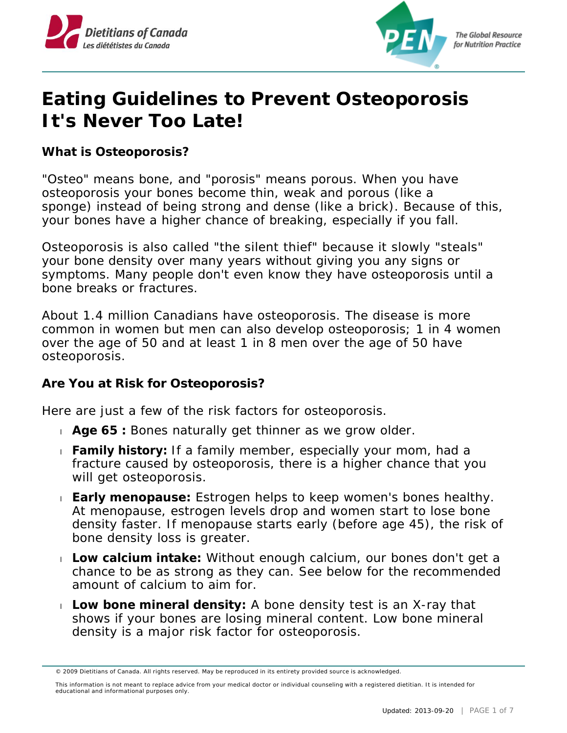



# **Eating Guidelines to Prevent Osteoporosis It's Never Too Late!**

**What is Osteoporosis?**

"Osteo" means bone, and "porosis" means porous. When you have osteoporosis your bones become thin, weak and porous (like a sponge) instead of being strong and dense (like a brick). Because of this, your bones have a higher chance of breaking, especially if you fall.

Osteoporosis is also called "the silent thief" because it slowly "steals" your bone density over many years without giving you any signs or symptoms. Many people don't even know they have osteoporosis until a bone breaks or fractures.

About 1.4 million Canadians have osteoporosis. The disease is more common in women but men can also develop osteoporosis; 1 in 4 women over the age of 50 and at least 1 in 8 men over the age of 50 have osteoporosis.

**Are You at Risk for Osteoporosis?**

Here are just a few of the risk factors for osteoporosis.

- **Age 65 :** Bones naturally get thinner as we grow older.
- **Family history:** If a family member, especially your mom, had a fracture caused by osteoporosis, there is a higher chance that you will get osteoporosis.
- **Early menopause:** Estrogen helps to keep women's bones healthy. At menopause, estrogen levels drop and women start to lose bone density faster. If menopause starts early (before age 45), the risk of bone density loss is greater.
- **Low calcium intake:** Without enough calcium, our bones don't get a chance to be as strong as they can. See below for the recommended amount of calcium to aim for.
- **Low bone mineral density:** A bone density test is an X-ray that shows if your bones are losing mineral content. Low bone mineral density is a major risk factor for osteoporosis.

<sup>© 2009</sup> Dietitians of Canada. All rights reserved. May be reproduced in its entirety provided source is acknowledged.

This information is not meant to replace advice from your medical doctor or individual counseling with a registered dietitian. It is intended for educational and informational purposes only.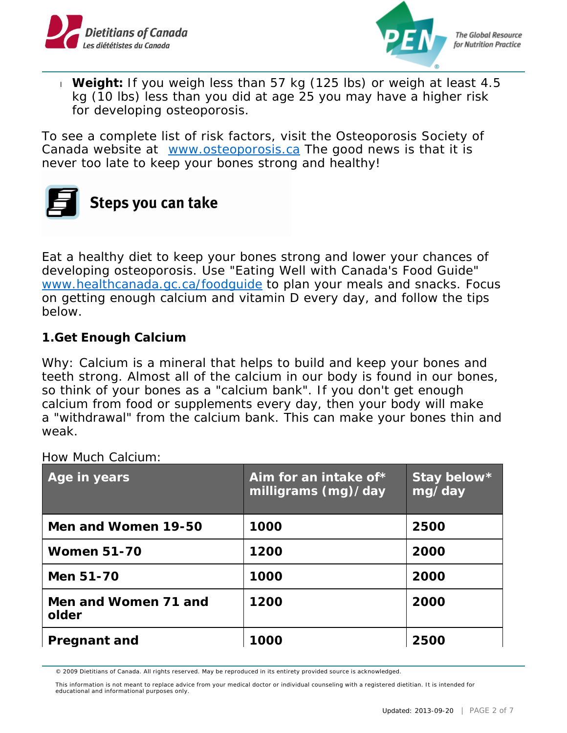



 **Weight:** If you weigh less than 57 kg (125 lbs) or weigh at least 4.5 kg (10 lbs) less than you did at age 25 you may have a higher risk for developing osteoporosis.

To see a complete list of risk factors, visit the Osteoporosis Society of Canada website at [www.osteoporosis.ca](http://www.osteoporosis.ca/) The good news is that it is never too late to keep your bones strong and healthy!

# Steps you can take

Eat a healthy diet to keep your bones strong and lower your chances of developing osteoporosis. Use "Eating Well with Canada's Food Guide" . [www.healthcanada.gc.ca/foodguide](https://www.canada.ca/en/health-canada/services/canada-food-guides.html) to plan your meals and snacks. Focus on getting enough calcium and vitamin D every day, and follow the tips below.

**1.Get Enough Calcium**

Why: Calcium is a mineral that helps to build and keep your bones and teeth strong. Almost all of the calcium in our body is found in our bones, so think of your bones as a "calcium bank". If you don't get enough calcium from food or supplements every day, then your body will make a "withdrawal" from the calcium bank. This can make your bones thin and weak.

| Age in years                  | Aim for an intake of $*$<br>milligrams $(mg)/day$ | Stay below*<br>mg/day |
|-------------------------------|---------------------------------------------------|-----------------------|
| Men and Women 19-50           | 1000                                              | 2500                  |
| <b>Women 51-70</b>            | 1200                                              | 2000                  |
| Men 51-70                     | 1000                                              | 2000                  |
| Men and Women 71 and<br>older | 1200                                              | 2000                  |
| Pregnant and                  | 1000                                              | 2500                  |

#### How Much Calcium:

<sup>© 2009</sup> Dietitians of Canada. All rights reserved. May be reproduced in its entirety provided source is acknowledged.

This information is not meant to replace advice from your medical doctor or individual counseling with a registered dietitian. It is intended for educational and informational purposes only.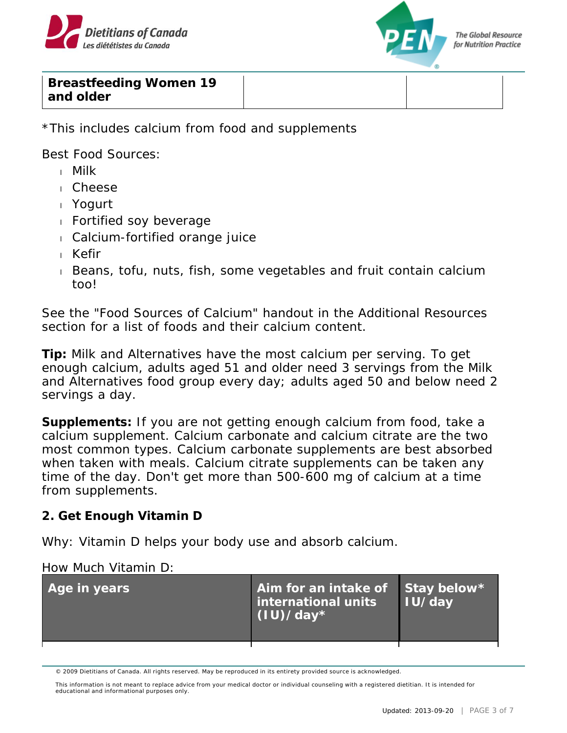



**Breastfeeding Women 19 and older**

\*This includes calcium from food and supplements

Best Food Sources:

- Milk
- Cheese
- Yogurt
- Fortified soy beverage
- Calcium-fortified orange juice
- Kefir
- Beans, tofu, nuts, fish, some vegetables and fruit contain calcium too!

See the "Food Sources of Calcium" handout in the Additional Resources section for a list of foods and their calcium content.

**Tip:** Milk and Alternatives have the most calcium per serving. To get enough calcium, adults aged 51 and older need 3 servings from the Milk and Alternatives food group every day; adults aged 50 and below need 2 servings a day.

**Supplements:** If you are not getting enough calcium from food, take a calcium supplement. Calcium carbonate and calcium citrate are the two most common types. Calcium carbonate supplements are best absorbed when taken with meals. Calcium citrate supplements can be taken any time of the day. Don't get more than 500-600 mg of calcium at a time from supplements.

**2. Get Enough Vitamin D**

Why: Vitamin D helps your body use and absorb calcium.

#### How Much Vitamin D:

| Age in years | Aim for an intake of Stay below*<br>international units<br>$(1U)/day*$ | IU/day |
|--------------|------------------------------------------------------------------------|--------|
|              |                                                                        |        |

<sup>© 2009</sup> Dietitians of Canada. All rights reserved. May be reproduced in its entirety provided source is acknowledged.

This information is not meant to replace advice from your medical doctor or individual counseling with a registered dietitian. It is intended for educational and informational purposes only.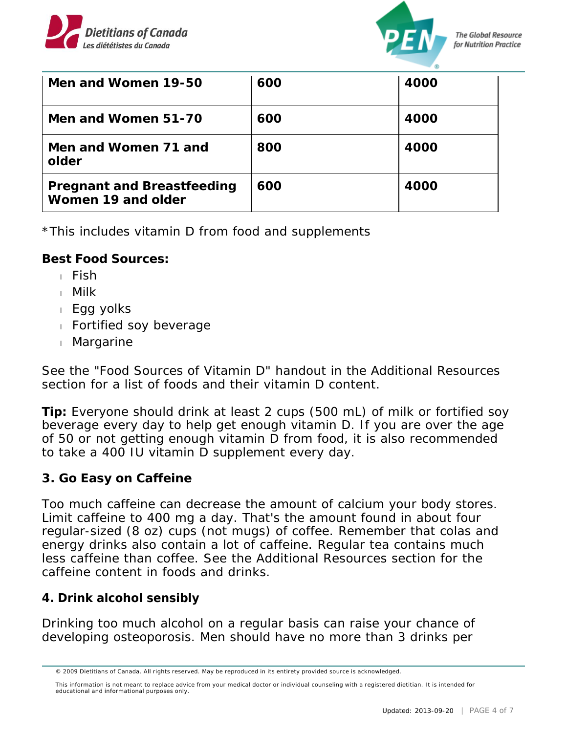



| Men and Women 19-50                              | 600 | 4000 |
|--------------------------------------------------|-----|------|
| Men and Women 51-70                              | 600 | 4000 |
| Men and Women 71 and<br>older                    | 800 | 4000 |
| Pregnant and Breastfeeding<br>Women 19 and older | 600 | 4000 |

\*This includes vitamin D from food and supplements

**Best Food Sources:**

- $Fish$
- Milk
- Egg yolks
- Fortified soy beverage
- Margarine

See the "Food Sources of Vitamin D" handout in the Additional Resources section for a list of foods and their vitamin D content.

**Tip:** Everyone should drink at least 2 cups (500 mL) of milk or fortified soy beverage every day to help get enough vitamin D. If you are over the age of 50 or not getting enough vitamin D from food, it is also recommended to take a 400 IU vitamin D supplement every day.

## **3. Go Easy on Caffeine**

Too much caffeine can decrease the amount of calcium your body stores. Limit caffeine to 400 mg a day. That's the amount found in about four regular-sized (8 oz) cups (not mugs) of coffee. Remember that colas and energy drinks also contain a lot of caffeine. Regular tea contains much less caffeine than coffee. See the Additional Resources section for the caffeine content in foods and drinks.

#### **4. Drink alcohol sensibly**

Drinking too much alcohol on a regular basis can raise your chance of developing osteoporosis. Men should have no more than 3 drinks per

<sup>© 2009</sup> Dietitians of Canada. All rights reserved. May be reproduced in its entirety provided source is acknowledged.

This information is not meant to replace advice from your medical doctor or individual counseling with a registered dietitian. It is intended for educational and informational purposes only.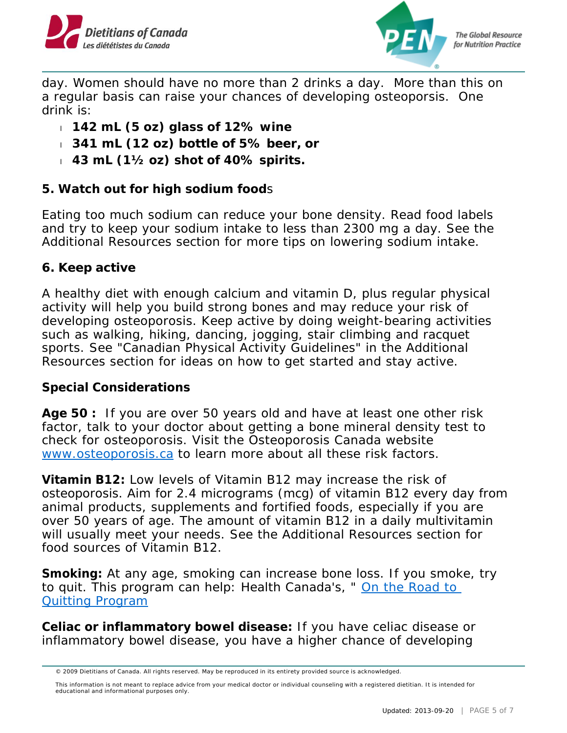



**The Global Resource** for Nutrition Practice

day. Women should have no more than 2 drinks a day. More than this on a regular basis can raise your chances of developing osteoporsis. One drink is:

- **142 mL (5 oz) glass of 12% wine**
- **341 mL (12 oz) bottle of 5% beer, or**
- **43 mL (1½ oz) shot of 40% spirits.**
- **5. Watch out for high sodium food**s

Eating too much sodium can reduce your bone density. Read food labels and try to keep your sodium intake to less than 2300 mg a day. See the Additional Resources section for more tips on lowering sodium intake.

### **6. Keep active**

A healthy diet with enough calcium and vitamin D, plus regular physical activity will help you build strong bones and may reduce your risk of developing osteoporosis. Keep active by doing weight-bearing activities such as walking, hiking, dancing, jogging, stair climbing and racquet sports. See "Canadian Physical Activity Guidelines" in the Additional Resources section for ideas on how to get started and stay active.

**Special Considerations**

**Age 50 :** If you are over 50 years old and have at least one other risk factor, talk to your doctor about getting a bone mineral density test to check for osteoporosis. Visit the Osteoporosis Canada website . [www.osteoporosis.ca](http://www.osteoporosis.ca/) to learn more about all these risk factors.

**Vitamin B12:** Low levels of Vitamin B12 may increase the risk of osteoporosis. Aim for 2.4 micrograms (mcg) of vitamin B12 every day from animal products, supplements and fortified foods, especially if you are over 50 years of age. The amount of vitamin B12 in a daily multivitamin will usually meet your needs. See the Additional Resources section for food sources of Vitamin B12.

**Smoking:** At any age, smoking can increase bone loss. If you smoke, try to quit. This program can help: Health Canada's, " On the Road to [Quitting Program](http://www.hc-sc.gc.ca/hc-ps/tobac-tabac/quit-cesser/now-maintenant/road-voie/index-eng.php)

**Celiac or inflammatory bowel disease:** If you have celiac disease or inflammatory bowel disease, you have a higher chance of developing

<sup>© 2009</sup> Dietitians of Canada. All rights reserved. May be reproduced in its entirety provided source is acknowledged.

This information is not meant to replace advice from your medical doctor or individual counseling with a registered dietitian. It is intended for educational and informational purposes only.